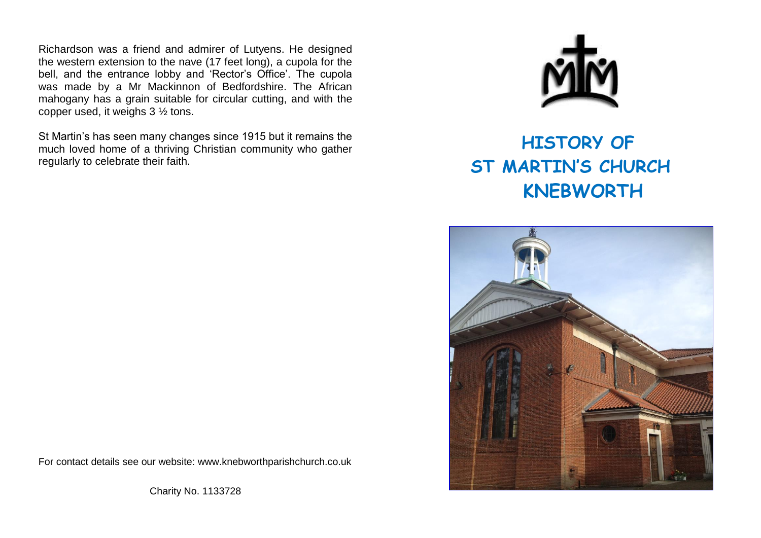Richardson was a friend and admirer of Lutyens. He designed the western extension to the nave (17 feet long), a cupola for the bell, and the entrance lobby and 'Rector's Office'. The cupola was made by a Mr Mackinnon of Bedfordshire. The African mahogany has a grain suitable for circular cutting, and with the copper used, it weighs 3 ½ tons.

St Martin's has seen many changes since 1915 but it remains the much loved home of a thriving Christian community who gather regularly to celebrate their faith.



## **HISTORY OF ST MARTIN'S CHURCH KNEBWORTH**



For contact details see our website: [www.knebworthparishchurch.co.uk](http://www.knebworthparishchurch.co.uk/)

Charity No. 1133728